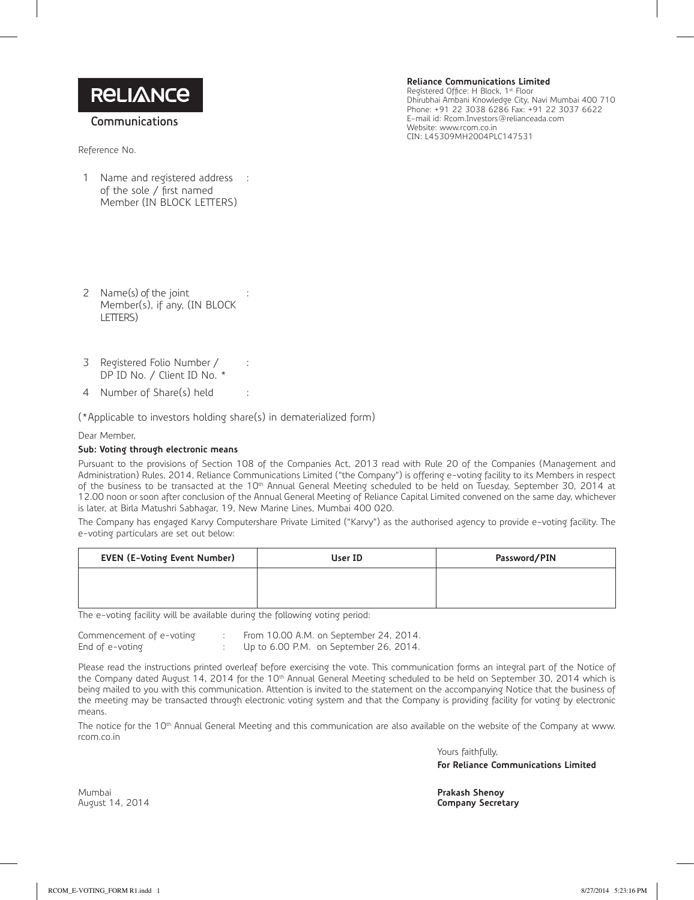**RELIANCE** 

**Communications**

Reference No.

1 Name and registered address of the sole / first named Member (IN BLOCK LETTERS) : **Reliance Communications Limited** Registered Office: H Block, 1st Floor<br>Dhirubhai Ambani Knowledge City, Navi Mumbai 400 710

Phone: +91 22 3038 6286 Fax: +91 22 3037 6622 E-mail id: Rcom.Investors@relianceada.com Website: www.rcom.co.in CIN: L45309MH2004PLC147531

- 2 Name(s) of the joint Member(s), if any, (IN BLOCK LETTERS) :
- 3 Registered Folio Number / DP ID No. / Client ID No. \*
- 4 Number of Share(s) held :

(\*Applicable to investors holding share(s) in dematerialized form)

:

Dear Member,

## **Sub: Voting through electronic means**

Pursuant to the provisions of Section 108 of the Companies Act, 2013 read with Rule 20 of the Companies (Management and Administration) Rules, 2014, Reliance Communications Limited ("the Company") is offering e-voting facility to its Members in respect of the business to be transacted at the 10<sup>th</sup> Annual General Meeting scheduled to be held on Tuesday, September 30, 2014 at 12.00 noon or soon after conclusion of the Annual General Meeting of Reliance Capital Limited convened on the same day, whichever is later, at Birla Matushri Sabhagar, 19, New Marine Lines, Mumbai 400 020.

The Company has engaged Karvy Computershare Private Limited ("Karvy") as the authorised agency to provide e-voting facility. The e-voting particulars are set out below:

| <b>EVEN (E-Voting Event Number)</b> | User ID | Password/PIN |
|-------------------------------------|---------|--------------|
|                                     |         |              |
|                                     |         |              |

The e-voting facility will be available during the following voting period:

| Commencement of e-voting |  | From 10.00 A.M. on September 24, 2014. |
|--------------------------|--|----------------------------------------|
| End of e-voting          |  | Up to 6.00 P.M. on September 26, 2014. |

Please read the instructions printed overleaf before exercising the vote. This communication forms an integral part of the Notice of the Company dated August 14, 2014 for the 10<sup>th</sup> Annual General Meeting scheduled to be held on September 30, 2014 which is being mailed to you with this communication. Attention is invited to the statement on the accompanying Notice that the business of the meeting may be transacted through electronic voting system and that the Company is providing facility for voting by electronic means.

The notice for the 10<sup>th</sup> Annual General Meeting and this communication are also available on the website of the Company at www. rcom.co.in

> Yours faithfully, **For Reliance Communications Limited**

Mumbai **Prakash Shenoy**

**Company Secretary**